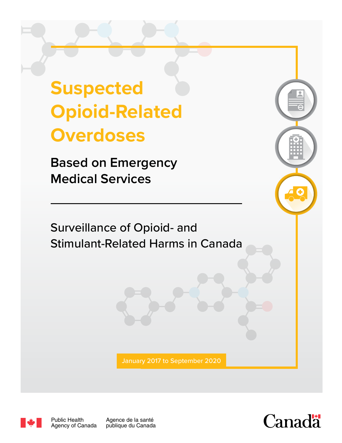# **Suspected Opioid-Related Overdoses**

**Based on Emergency Medical Services**

Surveillance of Opioid- and Stimulant-Related Harms in Canada

January 2017 to September 2020



Agence de la santé publique du Canada

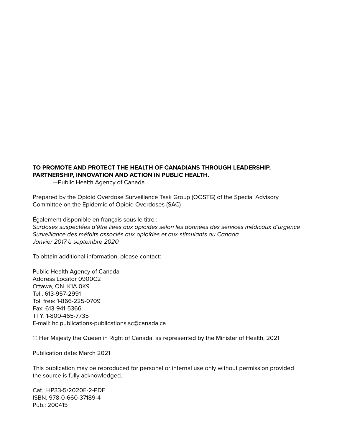### **TO PROMOTE AND PROTECT THE HEALTH OF CANADIANS THROUGH LEADERSHIP, PARTNERSHIP, INNOVATION AND ACTION IN PUBLIC HEALTH.**

—Public Health Agency of Canada

Prepared by the Opioid Overdose Surveillance Task Group (OOSTG) of the Special Advisory Committee on the Epidemic of Opioid Overdoses (SAC)

Également disponible en français sous le titre : *Surdoses suspectées d'être liées aux opioïdes selon les données des services médicaux d'urgence Surveillance des méfaits associés aux opioïdes et aux stimulants au Canada Janvier 2017 à septembre 2020*

To obtain additional information, please contact:

Public Health Agency of Canada Address Locator 0900C2 Ottawa, ON K1A 0K9 Tel.: 613-957-2991 Toll free: 1-866-225-0709 Fax: 613-941-5366 TTY: 1-800-465-7735 E-mail: hc.publications-publications.sc@canada.ca

© Her Majesty the Queen in Right of Canada, as represented by the Minister of Health, 2021

Publication date: March 2021

This publication may be reproduced for personal or internal use only without permission provided the source is fully acknowledged.

Cat.: HP33-5/2020E-2-PDF ISBN: 978-0-660-37189-4 Pub.: 200415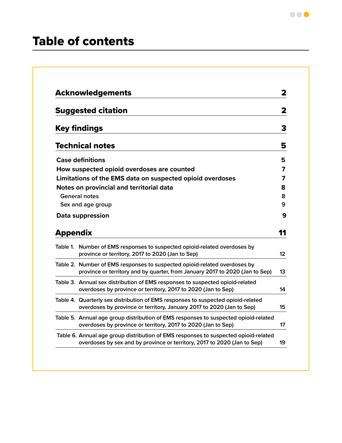# Table of contents

|                 | <b>Acknowledgements</b>                                                                                                                                   | 2       |
|-----------------|-----------------------------------------------------------------------------------------------------------------------------------------------------------|---------|
|                 | <b>Suggested citation</b>                                                                                                                                 | 2       |
|                 | <b>Key findings</b>                                                                                                                                       | 3       |
|                 | <b>Technical notes</b>                                                                                                                                    | 5       |
|                 | <b>Case definitions</b>                                                                                                                                   | 5       |
|                 | How suspected opioid overdoses are counted                                                                                                                | 7       |
|                 | Limitations of the EMS data on suspected opioid overdoses                                                                                                 | 7       |
|                 | Notes on provincial and territorial data                                                                                                                  | 8       |
|                 | <b>General notes</b>                                                                                                                                      | 8       |
|                 | Sex and age group                                                                                                                                         | 9       |
|                 | Data suppression                                                                                                                                          | 9       |
| <b>Appendix</b> |                                                                                                                                                           | 11      |
|                 | Table 1. Number of EMS responses to suspected opioid-related overdoses by                                                                                 | $12 \,$ |
|                 | province or territory, 2017 to 2020 (Jan to Sep)                                                                                                          |         |
|                 | Table 2. Number of EMS responses to suspected opioid-related overdoses by<br>province or territory and by quarter, from January 2017 to 2020 (Jan to Sep) | 13      |
|                 | Table 3. Annual sex distribution of EMS responses to suspected opioid-related<br>overdoses by province or territory, 2017 to 2020 (Jan to Sep)            | 14      |
|                 | Table 4. Quarterly sex distribution of EMS responses to suspected opioid-related<br>overdoses by province or territory, January 2017 to 2020 (Jan to Sep) | 15      |
|                 | Table 5. Annual age group distribution of EMS responses to suspected opioid-related<br>overdoses by province or territory, 2017 to 2020 (Jan to Sep)      | 17      |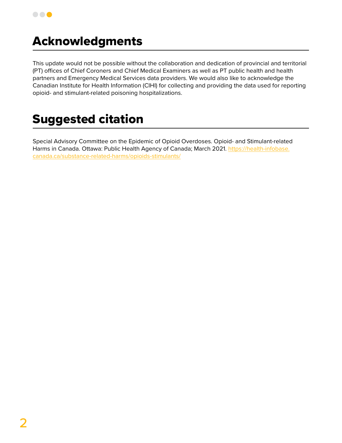

# Acknowledgments

This update would not be possible without the collaboration and dedication of provincial and territorial (PT) offices of Chief Coroners and Chief Medical Examiners as well as PT public health and health partners and Emergency Medical Services data providers. We would also like to acknowledge the Canadian Institute for Health Information (CIHI) for collecting and providing the data used for reporting opioid- and stimulant-related poisoning hospitalizations.

# Suggested citation

Special Advisory Committee on the Epidemic of Opioid Overdoses. Opioid- and Stimulant-related Harms in Canada. Ottawa: Public Health Agency of Canada; March 2021. [https://health-infobase.](https://health-infobase.canada.ca/substance-related-harms/opioids-stimulants/) [canada.ca/substance-related-harms/opioids-stimulants/](https://health-infobase.canada.ca/substance-related-harms/opioids-stimulants/)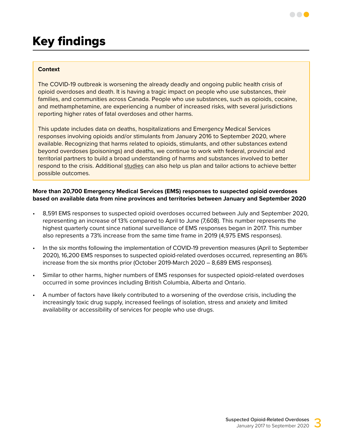#### **Context**

The COVID-19 outbreak is worsening the already deadly and ongoing public health crisis of opioid overdoses and death. It is having a tragic impact on people who use substances, their families, and communities across Canada. People who use substances, such as opioids, cocaine, and methamphetamine, are experiencing a number of increased risks, with several jurisdictions reporting higher rates of fatal overdoses and other harms.

This update includes data on deaths, hospitalizations and Emergency Medical Services responses involving opioids and/or stimulants from January 2016 to September 2020, where available. Recognizing that harms related to opioids, stimulants, and other substances extend beyond overdoses (poisonings) and deaths, we continue to work with federal, provincial and territorial partners to build a broad understanding of harms and substances involved to better respond to the crisis. Additional [studies](https://www.canada.ca/en/health-canada/services/substance-use/problematic-prescription-drug-use/opioids/data-surveillance-research.html) can also help us plan and tailor actions to achieve better possible outcomes.

#### **More than 20,700 Emergency Medical Services (EMS) responses to suspected opioid overdoses based on available data from nine provinces and territories between January and September 2020**

- 8,591 EMS responses to suspected opioid overdoses occurred between July and September 2020, representing an increase of 13% compared to April to June (7,608). This number represents the highest quarterly count since national surveillance of EMS responses began in 2017. This number also represents a 73% increase from the same time frame in 2019 (4,975 EMS responses).
- In the six months following the implementation of COVID-19 prevention measures (April to September 2020), 16,200 EMS responses to suspected opioid-related overdoses occurred, representing an 86% increase from the six months prior (October 2019-March 2020 – 8,689 EMS responses).
- Similar to other harms, higher numbers of EMS responses for suspected opioid-related overdoses occurred in some provinces including British Columbia, Alberta and Ontario.
- A number of factors have likely contributed to a worsening of the overdose crisis, including the increasingly toxic drug supply, increased feelings of isolation, stress and anxiety and limited availability or accessibility of services for people who use drugs.

. . .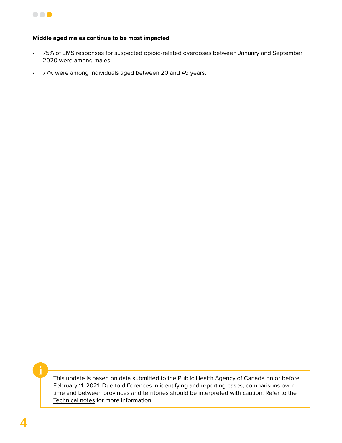

#### **Middle aged males continue to be most impacted**

- 75% of EMS responses for suspected opioid-related overdoses between January and September 2020 were among males.
- 77% were among individuals aged between 20 and 49 years.

This update is based on data submitted to the Public Health Agency of Canada on or before February 11, 2021. Due to differences in identifying and reporting cases, comparisons over time and between provinces and territories should be interpreted with caution. Refer to the [Technical notes](#page-6-0) for more information.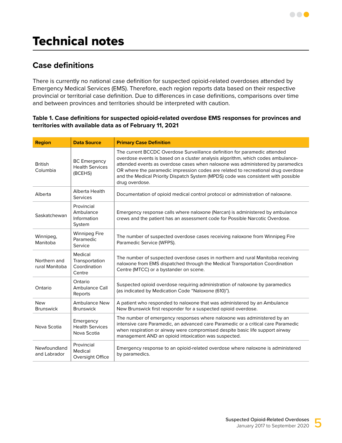# <span id="page-6-0"></span>Technical notes

# **Case definitions**

There is currently no national case definition for suspected opioid-related overdoses attended by Emergency Medical Services (EMS). Therefore, each region reports data based on their respective provincial or territorial case definition. Due to differences in case definitions, comparisons over time and between provinces and territories should be interpreted with caution.

#### **Table 1. Case definitions for suspected opioid-related overdose EMS responses for provinces and territories with available data as of February 11, 2021**

| <b>Region</b>                  | <b>Data Source</b>                                       | <b>Primary Case Definition</b>                                                                                                                                                                                                                                                                                                                                                                                                              |
|--------------------------------|----------------------------------------------------------|---------------------------------------------------------------------------------------------------------------------------------------------------------------------------------------------------------------------------------------------------------------------------------------------------------------------------------------------------------------------------------------------------------------------------------------------|
| <b>British</b><br>Columbia     | <b>BC</b> Emergency<br><b>Health Services</b><br>(BCEHS) | The current BCCDC Overdose Surveillance definition for paramedic attended<br>overdose events is based on a cluster analysis algorithm, which codes ambulance-<br>attended events as overdose cases when naloxone was administered by paramedics<br>OR where the paramedic impression codes are related to recreational drug overdose<br>and the Medical Priority Dispatch System (MPDS) code was consistent with possible<br>drug overdose. |
| Alberta                        | Alberta Health<br><b>Services</b>                        | Documentation of opioid medical control protocol or administration of naloxone.                                                                                                                                                                                                                                                                                                                                                             |
| Saskatchewan                   | Provincial<br>Ambulance<br>Information<br>System         | Emergency response calls where naloxone (Narcan) is administered by ambulance<br>crews and the patient has an assessment code for Possible Narcotic Overdose.                                                                                                                                                                                                                                                                               |
| Winnipeg,<br>Manitoba          | <b>Winnipeg Fire</b><br>Paramedic<br>Service             | The number of suspected overdose cases receiving naloxone from Winnipeg Fire<br>Paramedic Service (WFPS).                                                                                                                                                                                                                                                                                                                                   |
| Northern and<br>rural Manitoba | Medical<br>Transportation<br>Coordination<br>Centre      | The number of suspected overdose cases in northern and rural Manitoba receiving<br>naloxone from EMS dispatched through the Medical Transportation Coordination<br>Centre (MTCC) or a bystander on scene.                                                                                                                                                                                                                                   |
| Ontario                        | Ontario<br>Ambulance Call<br>Reports                     | Suspected opioid overdose requiring administration of naloxone by paramedics<br>(as indicated by Medication Code "Naloxone (610)").                                                                                                                                                                                                                                                                                                         |
| <b>New</b><br><b>Brunswick</b> | <b>Ambulance New</b><br><b>Brunswick</b>                 | A patient who responded to naloxone that was administered by an Ambulance<br>New Brunswick first responder for a suspected opioid overdose.                                                                                                                                                                                                                                                                                                 |
| Nova Scotia                    | Emergency<br><b>Health Services</b><br>Nova Scotia       | The number of emergency responses where naloxone was administered by an<br>intensive care Paramedic, an advanced care Paramedic or a critical care Paramedic<br>when respiration or airway were compromised despite basic life support airway<br>management AND an opioid intoxication was suspected.                                                                                                                                       |
| Newfoundland<br>and Labrador   | Provincial<br>Medical<br>Oversight Office                | Emergency response to an opioid-related overdose where naloxone is administered<br>by paramedics.                                                                                                                                                                                                                                                                                                                                           |

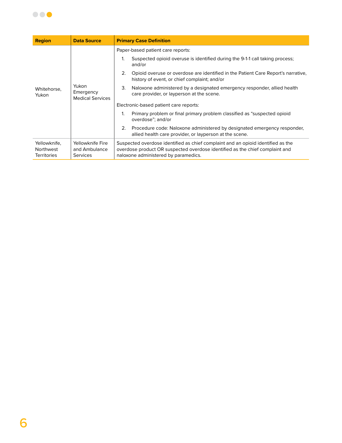

| <b>Region</b>                                   | <b>Data Source</b>                                   | <b>Primary Case Definition</b>                                                                                                                                                                           |
|-------------------------------------------------|------------------------------------------------------|----------------------------------------------------------------------------------------------------------------------------------------------------------------------------------------------------------|
|                                                 |                                                      | Paper-based patient care reports:                                                                                                                                                                        |
|                                                 |                                                      | Suspected opioid overuse is identified during the 9-1-1 call taking process;<br>1.<br>and/or                                                                                                             |
|                                                 |                                                      | 2.<br>Opioid overuse or overdose are identified in the Patient Care Report's narrative,<br>history of event, or chief complaint; and/or                                                                  |
| Whitehorse.<br>Yukon                            | Yukon<br>Emergency<br><b>Medical Services</b>        | 3.<br>Naloxone administered by a designated emergency responder, allied health<br>care provider, or layperson at the scene.                                                                              |
|                                                 |                                                      | Electronic-based patient care reports:                                                                                                                                                                   |
|                                                 |                                                      | Primary problem or final primary problem classified as "suspected opioid"<br>1.<br>overdose"; and/or                                                                                                     |
|                                                 |                                                      | 2.<br>Procedure code: Naloxone administered by designated emergency responder,<br>allied health care provider, or layperson at the scene.                                                                |
| Yellowknife,<br>Northwest<br><b>Territories</b> | Yellowknife Fire<br>and Ambulance<br><b>Services</b> | Suspected overdose identified as chief complaint and an opioid identified as the<br>overdose product OR suspected overdose identified as the chief complaint and<br>naloxone administered by paramedics. |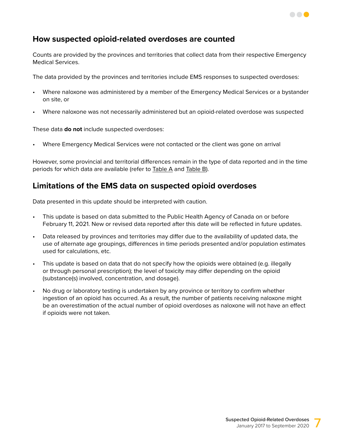

# **How suspected opioid-related overdoses are counted**

Counts are provided by the provinces and territories that collect data from their respective Emergency Medical Services.

The data provided by the provinces and territories include EMS responses to suspected overdoses:

- Where naloxone was administered by a member of the Emergency Medical Services or a bystander on site, or
- Where naloxone was not necessarily administered but an opioid-related overdose was suspected

These data **do not** include suspected overdoses:

• Where Emergency Medical Services were not contacted or the client was gone on arrival

However, some provincial and territorial differences remain in the type of data reported and in the time periods for which data are available (refer to [Table A](#page-11-0) and [Table B\)](#page-11-1).

## **Limitations of the EMS data on suspected opioid overdoses**

Data presented in this update should be interpreted with caution.

- This update is based on data submitted to the Public Health Agency of Canada on or before February 11, 2021. New or revised data reported after this date will be reflected in future updates.
- Data released by provinces and territories may differ due to the availability of updated data, the use of alternate age groupings, differences in time periods presented and/or population estimates used for calculations, etc.
- This update is based on data that do not specify how the opioids were obtained (e.g. illegally or through personal prescription); the level of toxicity may differ depending on the opioid (substance(s) involved, concentration, and dosage).
- No drug or laboratory testing is undertaken by any province or territory to confirm whether ingestion of an opioid has occurred. As a result, the number of patients receiving naloxone might be an overestimation of the actual number of opioid overdoses as naloxone will not have an effect if opioids were not taken.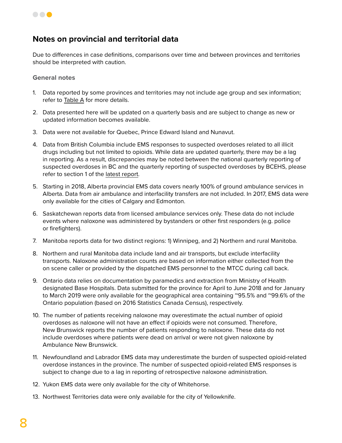

# **Notes on provincial and territorial data**

Due to differences in case definitions, comparisons over time and between provinces and territories should be interpreted with caution.

**General notes**

- 1. Data reported by some provinces and territories may not include age group and sex information; refer to [Table A](#page-11-0) for more details.
- 2. Data presented here will be updated on a quarterly basis and are subject to change as new or updated information becomes available.
- 3. Data were not available for Quebec, Prince Edward Island and Nunavut.
- 4. Data from British Columbia include EMS responses to suspected overdoses related to all illicit drugs including but not limited to opioids. While data are updated quarterly, there may be a lag in reporting. As a result, discrepancies may be noted between the national quarterly reporting of suspected overdoses in BC and the quarterly reporting of suspected overdoses by BCEHS, please refer to section 1 of the [latest report](http://www.bccdc.ca/health-professionals/data-reports/overdose-response-indicators).
- 5. Starting in 2018, Alberta provincial EMS data covers nearly 100% of ground ambulance services in Alberta. Data from air ambulance and interfacility transfers are not included. In 2017, EMS data were only available for the cities of Calgary and Edmonton.
- 6. Saskatchewan reports data from licensed ambulance services only. These data do not include events where naloxone was administered by bystanders or other first responders (e.g. police or firefighters).
- 7. Manitoba reports data for two distinct regions: 1) Winnipeg, and 2) Northern and rural Manitoba.
- 8. Northern and rural Manitoba data include land and air transports, but exclude interfacility transports. Naloxone administration counts are based on information either collected from the on scene caller or provided by the dispatched EMS personnel to the MTCC during call back.
- 9. Ontario data relies on documentation by paramedics and extraction from Ministry of Health designated Base Hospitals. Data submitted for the province for April to June 2018 and for January to March 2019 were only available for the geographical area containing ~95.5% and ~99.6% of the Ontario population (based on 2016 Statistics Canada Census), respectively.
- 10. The number of patients receiving naloxone may overestimate the actual number of opioid overdoses as naloxone will not have an effect if opioids were not consumed. Therefore, New Brunswick reports the number of patients responding to naloxone. These data do not include overdoses where patients were dead on arrival or were not given naloxone by Ambulance New Brunswick.
- 11. Newfoundland and Labrador EMS data may underestimate the burden of suspected opioid-related overdose instances in the province. The number of suspected opioid-related EMS responses is subject to change due to a lag in reporting of retrospective naloxone administration.
- 12. Yukon EMS data were only available for the city of Whitehorse.
- 13. Northwest Territories data were only available for the city of Yellowknife.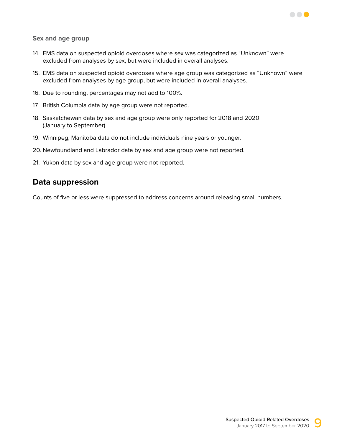

**Sex and age group**

- 14. EMS data on suspected opioid overdoses where sex was categorized as "Unknown" were excluded from analyses by sex, but were included in overall analyses.
- 15. EMS data on suspected opioid overdoses where age group was categorized as "Unknown" were excluded from analyses by age group, but were included in overall analyses.
- 16. Due to rounding, percentages may not add to 100%.
- 17. British Columbia data by age group were not reported.
- 18. Saskatchewan data by sex and age group were only reported for 2018 and 2020 (January to September).
- 19. Winnipeg, Manitoba data do not include individuals nine years or younger.
- 20. Newfoundland and Labrador data by sex and age group were not reported.
- 21. Yukon data by sex and age group were not reported.

# **Data suppression**

Counts of five or less were suppressed to address concerns around releasing small numbers.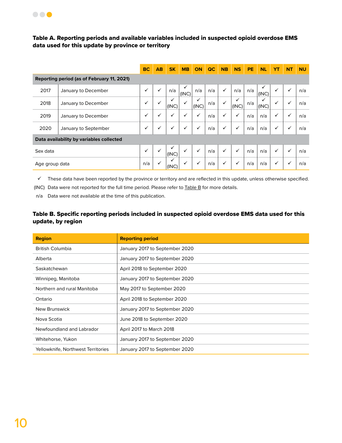

#### <span id="page-11-0"></span>Table A. Reporting periods and available variables included in suspected opioid overdose EMS data used for this update by province or territory

|                |                                            | <b>BC</b>    | AB           | <b>SK</b>    | <b>MB</b>    | ON           | QC  | <b>NB</b>    | <b>NS</b>             | <b>PE</b> | <b>NL</b> | <b>YT</b>    | <b>NT</b>    | <b>NU</b> |
|----------------|--------------------------------------------|--------------|--------------|--------------|--------------|--------------|-----|--------------|-----------------------|-----------|-----------|--------------|--------------|-----------|
|                | Reporting period (as of February 11, 2021) |              |              |              |              |              |     |              |                       |           |           |              |              |           |
| 2017           | January to December                        | $\checkmark$ | ✓            | n/a          | (INC)        | n/a          | n/a | ✓            | n/a                   | n/a       | (INC)     |              | ✓            | n/a       |
| 2018           | January to December                        | $\checkmark$ | $\checkmark$ | ✓<br>(INC)   | $\checkmark$ | ✓<br>(INC)   | n/a | $\checkmark$ | $\checkmark$<br>(INC) | n/a       | (INC)     | $\checkmark$ | $\checkmark$ | n/a       |
| 2019           | January to December                        | ✓            | ✓            | ✓            | $\checkmark$ | ✓            | n/a | $\checkmark$ | ✓                     | n/a       | n/a       | ✓            | $\checkmark$ | n/a       |
| 2020           | January to September                       | ✓            | ✓            | $\checkmark$ | $\checkmark$ | $\checkmark$ | n/a | ✓            | $\checkmark$          | n/a       | n/a       | ✓            | ✓            | n/a       |
|                | Data availability by variables collected   |              |              |              |              |              |     |              |                       |           |           |              |              |           |
| Sex data       |                                            | $\checkmark$ | ✓            | (INC)        | $\checkmark$ | ✓            | n/a | ✓            | ✓                     | n/a       | n/a       | ✓            | $\checkmark$ | n/a       |
| Age group data |                                            | n/a          | ✓            | ✓<br>(INC)   | $\checkmark$ | $\checkmark$ | n/a | $\checkmark$ | $\checkmark$          | n/a       | n/a       | $\checkmark$ | $\checkmark$ | n/a       |

 $\checkmark$  These data have been reported by the province or territory and are reflected in this update, unless otherwise specified.

(INC) Data were not reported for the full time period. Please refer to [Table B](#page-11-1) for more details.

n/a Data were not available at the time of this publication.

#### <span id="page-11-1"></span>Table B. Specific reporting periods included in suspected opioid overdose EMS data used for this update, by region

| <b>Region</b>                      | <b>Reporting period</b>        |
|------------------------------------|--------------------------------|
| <b>British Columbia</b>            | January 2017 to September 2020 |
| Alberta                            | January 2017 to September 2020 |
| Saskatchewan                       | April 2018 to September 2020   |
| Winnipeg, Manitoba                 | January 2017 to September 2020 |
| Northern and rural Manitoba        | May 2017 to September 2020     |
| Ontario                            | April 2018 to September 2020   |
| New Brunswick                      | January 2017 to September 2020 |
| Nova Scotia                        | June 2018 to September 2020    |
| Newfoundland and Labrador          | April 2017 to March 2018       |
| Whitehorse, Yukon                  | January 2017 to September 2020 |
| Yellowknife. Northwest Territories | January 2017 to September 2020 |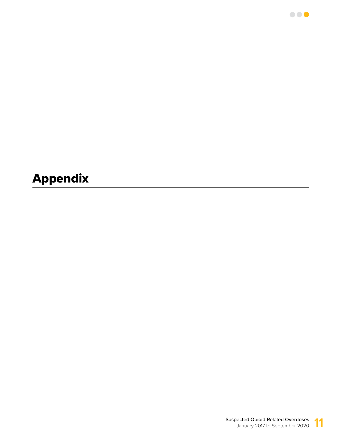

 $\bullet\bullet\bullet$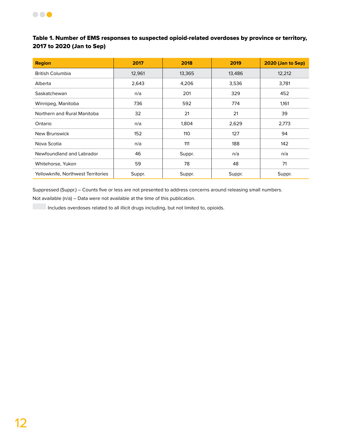

#### Table 1. Number of EMS responses to suspected opioid-related overdoses by province or territory, 2017 to 2020 (Jan to Sep)

| <b>Region</b>                      | 2017   | 2018   | 2019   | 2020 (Jan to Sep) |
|------------------------------------|--------|--------|--------|-------------------|
| <b>British Columbia</b>            | 12,961 | 13,365 | 13,486 | 12,212            |
| Alberta                            | 2,643  | 4,206  | 3,536  | 3,781             |
| Saskatchewan                       | n/a    | 201    | 329    | 452               |
| Winnipeg, Manitoba                 | 736    | 592    | 774    | 1,161             |
| Northern and Rural Manitoba        | 32     | 21     | 21     | 39                |
| Ontario                            | n/a    | 1,804  | 2,629  | 2,773             |
| New Brunswick                      | 152    | 110    | 127    | 94                |
| Nova Scotia                        | n/a    | 111    | 188    | 142               |
| Newfoundland and Labrador          | 46     | Suppr. | n/a    | n/a               |
| Whitehorse, Yukon                  | 59     | 78     | 48     | 71                |
| Yellowknife, Northwest Territories | Suppr. | Suppr. | Suppr. | Suppr.            |

Suppressed (Suppr.) – Counts five or less are not presented to address concerns around releasing small numbers.

Not available (n/a) – Data were not available at the time of this publication.

Includes overdoses related to all illicit drugs including, but not limited to, opioids.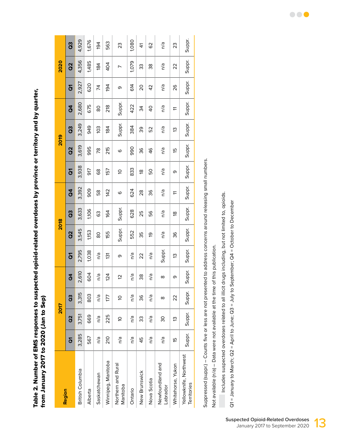Table 2. Number of EMS responses to suspected opioid-related overdoses by province or territory and by quarter, Table 2. Number of EMS responses to suspected opioid-related overdoses by province or territory and by quarter, from January 2017 to 2020 (Jan to Sep) from January 2017 to 2020 (Jan to Sep)

| Region                                |                     | <b>2017</b> |          |                |                         | 2018       |           |                |                | 2019      |           |                |                     | 2020          |           |
|---------------------------------------|---------------------|-------------|----------|----------------|-------------------------|------------|-----------|----------------|----------------|-----------|-----------|----------------|---------------------|---------------|-----------|
|                                       | $\overline{\delta}$ | <b>S</b>    | G3       | $\overline{a}$ | $\overline{\mathbf{G}}$ | <b>Sol</b> | <b>GS</b> | $\overline{a}$ | $\overline{6}$ | <b>Q2</b> | <b>GS</b> | $\overline{a}$ | $\overline{\delta}$ | $\frac{2}{3}$ | <b>GS</b> |
| <b>British Columbia</b>               | 3,285               | 3,751       | 3,315    | 2,610          | 2,795                   | 3,545      | 3,633     | 3,392          | 3,938          | 3,619     | 3,249     | 2,680          | 2,927               | 4,356         | 4,929     |
| Alberta                               | 567                 | 669         | 803      | 604            | 1,038                   | 1,153      | 1,106     | 909            | 917            | 995       | 949       | 675            | 620                 | 1,485         | 1,676     |
| Saskatchewan                          | n/a                 | n/a         | n/a      | n/a            | n/a                     | 80         | 63        | 58             | 89             | 78        | 103       | 80             | 74                  | 184           | 194       |
| Winnipeg, Manitoba                    | 210                 | 225         | 177      | 124            | $\overline{3}$          | 155        | 164       | 142            | 157            | 215       | 184       | 218            | 194                 | 404           | 563       |
| Northern and Rural<br>Manitoba        | n/a                 | ă           | ă        | 5              | თ                       | Suppr.     | Suppr.    | ဖ              | ă              | ဖ         | Suppr.    | Suppr.         | თ                   | ∼             | 23        |
| Ontario                               | n/a                 | n/a         | n/a      | n/a            | n/a                     | 552        | 628       | 624            | 833            | 990       | 384       | 422            | 614                 | 1,079         | 1,080     |
| New Brunswick                         | 45                  | 33          | 36       | 38             | 22                      | 35         | 25        | $\frac{8}{2}$  | Დ              | 36        | 39        | 34             | $\overline{0}$      | 33            | 4         |
| Nova Scotia                           | n/a                 | n/a         | n/a      | n/a            | n/a                     | ഉ          | 56        | 36             | 50             | 46        | 52        | $\overline{0}$ | 42                  | 38            | 62        |
| Newfoundland and<br>Labrador          | n/a                 | ვე          | $\infty$ | $\infty$       | Suppr.                  | n/a        | n/a       | n/a            | n/a            | n/a       | n/a       | n/a            | n/a                 | n/a           | n/a       |
| Whitehorse, Yukon                     | 15                  | 13          | 22       | თ              | 13                      | 36         | œ         | H              | თ              | 15        | 13        | H              | 26                  | 22            | 23        |
| Yellowknife, Northwest<br>Territories | Suppr.              | Suppr.      | Suppr.   | Suppr.         | Suppr.                  | Suppr.     | Suppr.    | Suppr.         | Suppr.         | Suppr.    | Suppr.    | Suppr.         | Suppr.              | Suppr.        | Suppr.    |
|                                       |                     |             |          |                |                         |            |           |                |                |           |           |                |                     |               |           |

Suppressed (suppr.) – Counts five or less are not presented to address concerns around releasing small numbers. Suppressed (suppr.) - Counts five or less are not presented to address concerns around releasing small numbers.

Not available (n/a) - Data were not available at the time of this publication. Not available (n/a) – Data were not available at the time of this publication.

Includes suspected overdoses related to all illicit drugs including, but not limited to, opioids. Includes suspected overdoses related to all illicit drugs including, but not limited to, opioids.

Q1 = January to March; Q2 = April to June; Q3 = July to September; Q4 = October to December Q1 = January to March; Q2 = April to June; Q3 = July to September; Q4 = October to December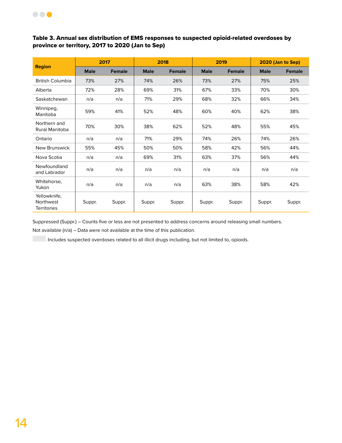

#### Table 3. Annual sex distribution of EMS responses to suspected opioid-related overdoses by province or territory, 2017 to 2020 (Jan to Sep)

|                                                        |             | 2017          |             | 2018          |             | 2019          |             | 2020 (Jan to Sep) |
|--------------------------------------------------------|-------------|---------------|-------------|---------------|-------------|---------------|-------------|-------------------|
| <b>Region</b>                                          | <b>Male</b> | <b>Female</b> | <b>Male</b> | <b>Female</b> | <b>Male</b> | <b>Female</b> | <b>Male</b> | <b>Female</b>     |
| <b>British Columbia</b>                                | 73%         | 27%           | 74%         | 26%           | 73%         | 27%           | 75%         | 25%               |
| Alberta                                                | 72%         | 28%           | 69%         | 31%           | 67%         | 33%           | 70%         | 30%               |
| Saskatchewan                                           | n/a         | n/a           | 71%         | 29%           | 68%         | 32%           | 66%         | 34%               |
| Winnipeg,<br>Manitoba                                  | 59%         | 41%           | 52%         | 48%           | 60%         | 40%           | 62%         | 38%               |
| Northern and<br>Rural Manitoba                         | 70%         | 30%           | 38%         | 62%           | 52%         | 48%           | 55%         | 45%               |
| Ontario                                                | n/a         | n/a           | 71%         | 29%           | 74%         | 26%           | 74%         | 26%               |
| New Brunswick                                          | 55%         | 45%           | 50%         | 50%           | 58%         | 42%           | 56%         | 44%               |
| Nova Scotia                                            | n/a         | n/a           | 69%         | 31%           | 63%         | 37%           | 56%         | 44%               |
| Newfoundland<br>and Labrador                           | n/a         | n/a           | n/a         | n/a           | n/a         | n/a           | n/a         | n/a               |
| Whitehorse,<br>Yukon                                   | n/a         | n/a           | n/a         | n/a           | 63%         | 38%           | 58%         | 42%               |
| Yellowknife,<br><b>Northwest</b><br><b>Territories</b> | Suppr.      | Suppr.        | Suppr.      | Suppr.        | Suppr.      | Suppr.        | Suppr.      | Suppr.            |

Suppressed (Suppr.) – Counts five or less are not presented to address concerns around releasing small numbers.

Not available (n/a) – Data were not available at the time of this publication.

Includes suspected overdoses related to all illicit drugs including, but not limited to, opioids.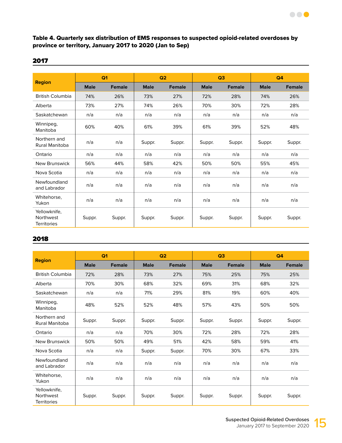#### Table 4. Quarterly sex distribution of EMS responses to suspected opioid-related overdoses by province or territory, January 2017 to 2020 (Jan to Sep)

#### 2017

|                                                 |             | Q <sub>1</sub> |             | Q2            |             | Q3            |             | Q <sub>4</sub> |
|-------------------------------------------------|-------------|----------------|-------------|---------------|-------------|---------------|-------------|----------------|
| <b>Region</b>                                   | <b>Male</b> | <b>Female</b>  | <b>Male</b> | <b>Female</b> | <b>Male</b> | <b>Female</b> | <b>Male</b> | <b>Female</b>  |
| <b>British Columbia</b>                         | 74%         | 26%            | 73%         | 27%           | 72%         | 28%           | 74%         | 26%            |
| Alberta                                         | 73%         | 27%            | 74%         | 26%           | 70%         | 30%           | 72%         | 28%            |
| Saskatchewan                                    | n/a         | n/a            | n/a         | n/a           | n/a         | n/a           | n/a         | n/a            |
| Winnipeg,<br>Manitoba                           | 60%         | 40%            | 61%         | 39%           | 61%         | 39%           | 52%         | 48%            |
| Northern and<br>Rural Manitoba                  | n/a         | n/a            | Suppr.      | Suppr.        | Suppr.      | Suppr.        | Suppr.      | Suppr.         |
| Ontario                                         | n/a         | n/a            | n/a         | n/a           | n/a         | n/a           | n/a         | n/a            |
| New Brunswick                                   | 56%         | 44%            | 58%         | 42%           | 50%         | 50%           | 55%         | 45%            |
| Nova Scotia                                     | n/a         | n/a            | n/a         | n/a           | n/a         | n/a           | n/a         | n/a            |
| Newfoundland<br>and Labrador                    | n/a         | n/a            | n/a         | n/a           | n/a         | n/a           | n/a         | n/a            |
| Whitehorse,<br>Yukon                            | n/a         | n/a            | n/a         | n/a           | n/a         | n/a           | n/a         | n/a            |
| Yellowknife,<br>Northwest<br><b>Territories</b> | Suppr.      | Suppr.         | Suppr.      | Suppr.        | Suppr.      | Suppr.        | Suppr.      | Suppr.         |

|                                                 |             | Q <sub>1</sub> |             | Q2            |             | Q3            |             | Q <sub>4</sub> |
|-------------------------------------------------|-------------|----------------|-------------|---------------|-------------|---------------|-------------|----------------|
| <b>Region</b>                                   | <b>Male</b> | <b>Female</b>  | <b>Male</b> | <b>Female</b> | <b>Male</b> | <b>Female</b> | <b>Male</b> | <b>Female</b>  |
| <b>British Columbia</b>                         | 72%         | 28%            | 73%         | 27%           | 75%         | 25%           | 75%         | 25%            |
| Alberta                                         | 70%         | 30%            | 68%         | 32%           | 69%         | 31%           | 68%         | 32%            |
| Saskatchewan                                    | n/a         | n/a            | 71%         | 29%           | 81%         | 19%           | 60%         | 40%            |
| Winnipeg,<br>Manitoba                           | 48%         | 52%            | 52%         | 48%           | 57%         | 43%           | 50%         | 50%            |
| Northern and<br>Rural Manitoba                  | Suppr.      | Suppr.         | Suppr.      | Suppr.        | Suppr.      | Suppr.        | Suppr.      | Suppr.         |
| Ontario                                         | n/a         | n/a            | 70%         | 30%           | 72%         | 28%           | 72%         | 28%            |
| New Brunswick                                   | 50%         | 50%            | 49%         | 51%           | 42%         | 58%           | 59%         | 41%            |
| Nova Scotia                                     | n/a         | n/a            | Suppr.      | Suppr.        | 70%         | 30%           | 67%         | 33%            |
| Newfoundland<br>and Labrador                    | n/a         | n/a            | n/a         | n/a           | n/a         | n/a           | n/a         | n/a            |
| Whitehorse,<br>Yukon                            | n/a         | n/a            | n/a         | n/a           | n/a         | n/a           | n/a         | n/a            |
| Yellowknife,<br>Northwest<br><b>Territories</b> | Suppr.      | Suppr.         | Suppr.      | Suppr.        | Suppr.      | Suppr.        | Suppr.      | Suppr.         |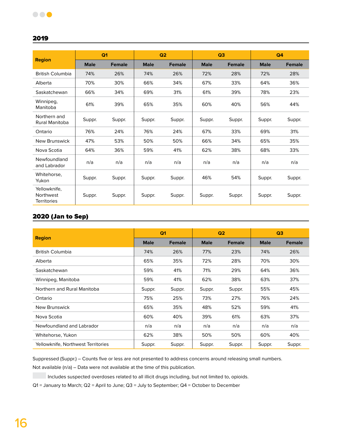#### 2019

|                                                 |             | Q <sub>1</sub> |             | Q2            |             | Q <sub>3</sub> |             | Q4            |
|-------------------------------------------------|-------------|----------------|-------------|---------------|-------------|----------------|-------------|---------------|
| <b>Region</b>                                   | <b>Male</b> | <b>Female</b>  | <b>Male</b> | <b>Female</b> | <b>Male</b> | <b>Female</b>  | <b>Male</b> | <b>Female</b> |
| <b>British Columbia</b>                         | 74%         | 26%            | 74%         | 26%           | 72%         | 28%            | 72%         | 28%           |
| Alberta                                         | 70%         | 30%            | 66%         | 34%           | 67%         | 33%            | 64%         | 36%           |
| Saskatchewan                                    | 66%         | 34%            | 69%         | 31%           | 61%         | 39%            | 78%         | 23%           |
| Winnipeg,<br>Manitoba                           | 61%         | 39%            | 65%         | 35%           | 60%         | 40%            | 56%         | 44%           |
| Northern and<br>Rural Manitoba                  | Suppr.      | Suppr.         | Suppr.      | Suppr.        | Suppr.      | Suppr.         | Suppr.      | Suppr.        |
| Ontario                                         | 76%         | 24%            | 76%         | 24%           | 67%         | 33%            | 69%         | 31%           |
| New Brunswick                                   | 47%         | 53%            | 50%         | 50%           | 66%         | 34%            | 65%         | 35%           |
| Nova Scotia                                     | 64%         | 36%            | 59%         | 41%           | 62%         | 38%            | 68%         | 33%           |
| Newfoundland<br>and Labrador                    | n/a         | n/a            | n/a         | n/a           | n/a         | n/a            | n/a         | n/a           |
| Whitehorse,<br>Yukon                            | Suppr.      | Suppr.         | Suppr.      | Suppr.        | 46%         | 54%            | Suppr.      | Suppr.        |
| Yellowknife,<br>Northwest<br><b>Territories</b> | Suppr.      | Suppr.         | Suppr.      | Suppr.        | Suppr.      | Suppr.         | Suppr.      | Suppr.        |

#### 2020 (Jan to Sep)

|                                    |             | Q <sub>1</sub> |             | Q <sub>2</sub> |             | Q <sub>3</sub> |
|------------------------------------|-------------|----------------|-------------|----------------|-------------|----------------|
| <b>Region</b>                      | <b>Male</b> | <b>Female</b>  | <b>Male</b> | <b>Female</b>  | <b>Male</b> | <b>Female</b>  |
| <b>British Columbia</b>            | 74%         | 26%            | 77%         | 23%            | 74%         | 26%            |
| Alberta                            | 65%         | 35%            | 72%         | 28%            | 70%         | 30%            |
| Saskatchewan                       | 59%         | 41%            | 71%         | 29%            | 64%         | 36%            |
| Winnipeg, Manitoba                 | 59%         | 41%            | 62%         | 38%            | 63%         | 37%            |
| Northern and Rural Manitoba        | Suppr.      | Suppr.         | Suppr.      | Suppr.         | 55%         | 45%            |
| Ontario                            | 75%         | 25%            | 73%         | 27%            | 76%         | 24%            |
| New Brunswick                      | 65%         | 35%            | 48%         | 52%            | 59%         | 41%            |
| Nova Scotia                        | 60%         | 40%            | 39%         | 61%            | 63%         | 37%            |
| Newfoundland and Labrador          | n/a         | n/a            | n/a         | n/a            | n/a         | n/a            |
| Whitehorse, Yukon                  | 62%         | 38%            | 50%         | 50%            | 60%         | 40%            |
| Yellowknife, Northwest Territories | Suppr.      | Suppr.         | Suppr.      | Suppr.         | Suppr.      | Suppr.         |

Suppressed (Suppr.) – Counts five or less are not presented to address concerns around releasing small numbers.

Not available (n/a) – Data were not available at the time of this publication.

Includes suspected overdoses related to all illicit drugs including, but not limited to, opioids.

Q1 = January to March; Q2 = April to June; Q3 = July to September; Q4 = October to December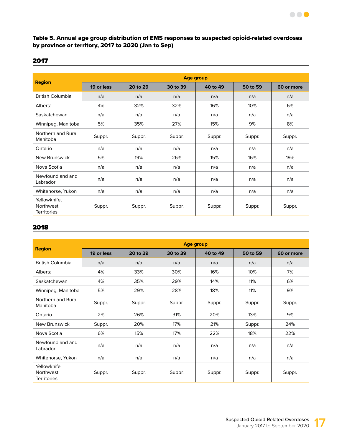#### Table 5. Annual age group distribution of EMS responses to suspected opioid-related overdoses by province or territory, 2017 to 2020 (Jan to Sep)

#### 2017

|                                                 | Age group  |          |          |          |          |            |  |  |  |  |
|-------------------------------------------------|------------|----------|----------|----------|----------|------------|--|--|--|--|
| <b>Region</b>                                   | 19 or less | 20 to 29 | 30 to 39 | 40 to 49 | 50 to 59 | 60 or more |  |  |  |  |
| <b>British Columbia</b>                         | n/a        | n/a      | n/a      | n/a      | n/a      | n/a        |  |  |  |  |
| Alberta                                         | 4%         | 32%      | 32%      | 16%      | 10%      | 6%         |  |  |  |  |
| Saskatchewan                                    | n/a        | n/a      | n/a      | n/a      | n/a      | n/a        |  |  |  |  |
| Winnipeg, Manitoba                              | 5%         | 35%      | 27%      | 15%      | 9%       | 8%         |  |  |  |  |
| Northern and Rural<br>Manitoba                  | Suppr.     | Suppr.   | Suppr.   | Suppr.   | Suppr.   | Suppr.     |  |  |  |  |
| Ontario                                         | n/a        | n/a      | n/a      | n/a      | n/a      | n/a        |  |  |  |  |
| New Brunswick                                   | 5%         | 19%      | 26%      | 15%      | 16%      | 19%        |  |  |  |  |
| Nova Scotia                                     | n/a        | n/a      | n/a      | n/a      | n/a      | n/a        |  |  |  |  |
| Newfoundland and<br>Labrador                    | n/a        | n/a      | n/a      | n/a      | n/a      | n/a        |  |  |  |  |
| Whitehorse, Yukon                               | n/a        | n/a      | n/a      | n/a      | n/a      | n/a        |  |  |  |  |
| Yellowknife,<br>Northwest<br><b>Territories</b> | Suppr.     | Suppr.   | Suppr.   | Suppr.   | Suppr.   | Suppr.     |  |  |  |  |

|                                                 | <b>Age group</b> |          |          |          |          |            |  |  |  |  |
|-------------------------------------------------|------------------|----------|----------|----------|----------|------------|--|--|--|--|
| <b>Region</b>                                   | 19 or less       | 20 to 29 | 30 to 39 | 40 to 49 | 50 to 59 | 60 or more |  |  |  |  |
| <b>British Columbia</b>                         | n/a              | n/a      | n/a      | n/a      | n/a      | n/a        |  |  |  |  |
| Alberta                                         | 4%               | 33%      | 30%      | 16%      | 10%      | 7%         |  |  |  |  |
| Saskatchewan                                    | 4%               | 35%      | 29%      | 14%      | 11%      | 6%         |  |  |  |  |
| Winnipeg, Manitoba                              | 5%               | 29%      | 28%      | 18%      | 11%      | 9%         |  |  |  |  |
| Northern and Rural<br>Manitoba                  | Suppr.           | Suppr.   | Suppr.   | Suppr.   | Suppr.   | Suppr.     |  |  |  |  |
| Ontario                                         | 2%               | 26%      | 31%      | 20%      | 13%      | 9%         |  |  |  |  |
| New Brunswick                                   | Suppr.           | 20%      | 17%      | 21%      | Suppr.   | 24%        |  |  |  |  |
| Nova Scotia                                     | 6%               | 15%      | 17%      | 22%      | 18%      | 22%        |  |  |  |  |
| Newfoundland and<br>Labrador                    | n/a              | n/a      | n/a      | n/a      | n/a      | n/a        |  |  |  |  |
| Whitehorse, Yukon                               | n/a              | n/a      | n/a      | n/a      | n/a      | n/a        |  |  |  |  |
| Yellowknife,<br>Northwest<br><b>Territories</b> | Suppr.           | Suppr.   | Suppr.   | Suppr.   | Suppr.   | Suppr.     |  |  |  |  |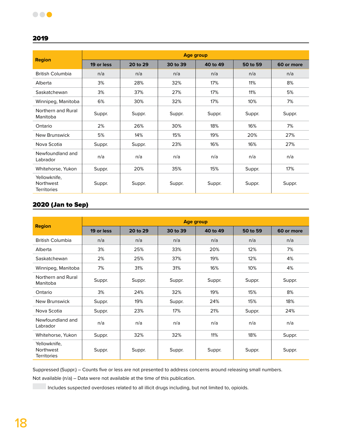#### 2019

| <b>Region</b>                                   | Age group  |          |          |          |          |            |  |  |  |  |
|-------------------------------------------------|------------|----------|----------|----------|----------|------------|--|--|--|--|
|                                                 | 19 or less | 20 to 29 | 30 to 39 | 40 to 49 | 50 to 59 | 60 or more |  |  |  |  |
| <b>British Columbia</b>                         | n/a        | n/a      | n/a      | n/a      | n/a      | n/a        |  |  |  |  |
| Alberta                                         | 3%         | 28%      | 32%      | 17%      | 11%      | 8%         |  |  |  |  |
| Saskatchewan                                    | 3%         | 37%      | 27%      | 17%      | 11%      | 5%         |  |  |  |  |
| Winnipeg, Manitoba                              | 6%         | 30%      | 32%      | 17%      | 10%      | 7%         |  |  |  |  |
| Northern and Rural<br>Manitoba                  | Suppr.     | Suppr.   | Suppr.   | Suppr.   | Suppr.   | Suppr.     |  |  |  |  |
| Ontario                                         | 2%         | 26%      | 30%      | 18%      | 16%      | 7%         |  |  |  |  |
| New Brunswick                                   | 5%         | 14%      | 15%      | 19%      | 20%      | 27%        |  |  |  |  |
| Nova Scotia                                     | Suppr.     | Suppr.   | 23%      | 16%      | 16%      | 27%        |  |  |  |  |
| Newfoundland and<br>Labrador                    | n/a        | n/a      | n/a      | n/a      | n/a      | n/a        |  |  |  |  |
| Whitehorse, Yukon                               | Suppr.     | 20%      | 35%      | 15%      | Suppr.   | 17%        |  |  |  |  |
| Yellowknife,<br>Northwest<br><b>Territories</b> | Suppr.     | Suppr.   | Suppr.   | Suppr.   | Suppr.   | Suppr.     |  |  |  |  |

### 2020 (Jan to Sep)

|                                                        | <b>Age group</b> |          |          |          |          |            |  |  |  |  |
|--------------------------------------------------------|------------------|----------|----------|----------|----------|------------|--|--|--|--|
| <b>Region</b>                                          | 19 or less       | 20 to 29 | 30 to 39 | 40 to 49 | 50 to 59 | 60 or more |  |  |  |  |
| <b>British Columbia</b>                                | n/a              | n/a      | n/a      | n/a      | n/a      | n/a        |  |  |  |  |
| Alberta                                                | 3%               | 25%      | 33%      | 20%      | 12%      | 7%         |  |  |  |  |
| Saskatchewan                                           | 2%               | 25%      | 37%      | 19%      | 12%      | 4%         |  |  |  |  |
| Winnipeg, Manitoba                                     | 7%               | 31%      | 31%      | 16%      | 10%      | 4%         |  |  |  |  |
| Northern and Rural<br>Manitoba                         | Suppr.           | Suppr.   | Suppr.   | Suppr.   | Suppr.   | Suppr.     |  |  |  |  |
| Ontario                                                | 3%               | 24%      | 32%      | 19%      | 15%      | 8%         |  |  |  |  |
| <b>New Brunswick</b>                                   | Suppr.           | 19%      | Suppr.   | 24%      | 15%      | 18%        |  |  |  |  |
| Nova Scotia                                            | Suppr.           | 23%      | 17%      | 21%      | Suppr.   | 24%        |  |  |  |  |
| Newfoundland and<br>Labrador                           | n/a              | n/a      | n/a      | n/a      | n/a      | n/a        |  |  |  |  |
| Whitehorse, Yukon                                      | Suppr.           | 32%      | 32%      | 11%      | 18%      | Suppr.     |  |  |  |  |
| Yellowknife,<br><b>Northwest</b><br><b>Territories</b> | Suppr.           | Suppr.   | Suppr.   | Suppr.   | Suppr.   | Suppr.     |  |  |  |  |

Suppressed (Suppr.) – Counts five or less are not presented to address concerns around releasing small numbers.

Not available (n/a) – Data were not available at the time of this publication.

Includes suspected overdoses related to all illicit drugs including, but not limited to, opioids.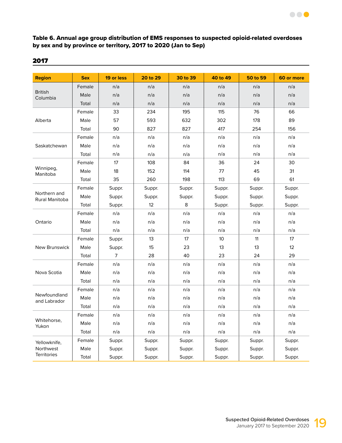#### Table 6. Annual age group distribution of EMS responses to suspected opioid-related overdoses by sex and by province or territory, 2017 to 2020 (Jan to Sep)

| <b>Region</b>                  | <b>Sex</b> | 19 or less     | 20 to 29 | 30 to 39 | 40 to 49 | 50 to 59 | 60 or more |
|--------------------------------|------------|----------------|----------|----------|----------|----------|------------|
|                                | Female     | n/a            | n/a      | n/a      | n/a      | n/a      | n/a        |
| <b>British</b><br>Columbia     | Male       | n/a            | n/a      | n/a      | n/a      | n/a      | n/a        |
|                                | Total      | n/a            | n/a      | n/a      | n/a      | n/a      | n/a        |
|                                | Female     | 33             | 234      | 195      | 115      | 76       | 66         |
| Alberta                        | Male       | 57             | 593      | 632      | 302      | 178      | 89         |
|                                | Total      | 90             | 827      | 827      | 417      | 254      | 156        |
|                                | Female     | n/a            | n/a      | n/a      | n/a      | n/a      | n/a        |
| Saskatchewan                   | Male       | n/a            | n/a      | n/a      | n/a      | n/a      | n/a        |
|                                | Total      | n/a            | n/a      | n/a      | n/a      | n/a      | n/a        |
|                                | Female     | 17             | 108      | 84       | 36       | 24       | 30         |
| Winnipeg,<br>Manitoba          | Male       | 18             | 152      | 114      | 77       | 45       | 31         |
|                                | Total      | 35             | 260      | 198      | 113      | 69       | 61         |
|                                | Female     | Suppr.         | Suppr.   | Suppr.   | Suppr.   | Suppr.   | Suppr.     |
| Northern and<br>Rural Manitoba | Male       | Suppr.         | Suppr.   | Suppr.   | Suppr.   | Suppr.   | Suppr.     |
|                                | Total      | Suppr.         | 12       | 8        | Suppr.   | Suppr.   | Suppr.     |
|                                | Female     | n/a            | n/a      | n/a      | n/a      | n/a      | n/a        |
| Ontario                        | Male       | n/a            | n/a      | n/a      | n/a      | n/a      | n/a        |
|                                | Total      | n/a            | n/a      | n/a      | n/a      | n/a      | n/a        |
|                                | Female     | Suppr.         | 13       | 17       | 10       | 11       | 17         |
| <b>New Brunswick</b>           | Male       | Suppr.         | 15       | 23       | 13       | 13       | 12         |
|                                | Total      | $\overline{7}$ | 28       | 40       | 23       | 24       | 29         |
|                                | Female     | n/a            | n/a      | n/a      | n/a      | n/a      | n/a        |
| Nova Scotia                    | Male       | n/a            | n/a      | n/a      | n/a      | n/a      | n/a        |
|                                | Total      | n/a            | n/a      | n/a      | n/a      | n/a      | n/a        |
|                                | Female     | n/a            | n/a      | n/a      | n/a      | n/a      | n/a        |
| Newfoundland<br>and Labrador   | Male       | n/a            | n/a      | n/a      | n/a      | n/a      | n/a        |
|                                | Total      | n/a            | n/a      | n/a      | n/a      | n/a      | n/a        |
|                                | Female     | n/a            | n/a      | n/a      | n/a      | n/a      | n/a        |
| Whitehorse,                    | Male       | n/a            | n/a      | n/a      | n/a      | n/a      | n/a        |
| Yukon                          | Total      | n/a            | n/a      | n/a      | n/a      | n/a      | n/a        |
| Yellowknife,                   | Female     | Suppr.         | Suppr.   | Suppr.   | Suppr.   | Suppr.   | Suppr.     |
| Northwest                      | Male       | Suppr.         | Suppr.   | Suppr.   | Suppr.   | Suppr.   | Suppr.     |
| <b>Territories</b>             | Total      | Suppr.         | Suppr.   | Suppr.   | Suppr.   | Suppr.   | Suppr.     |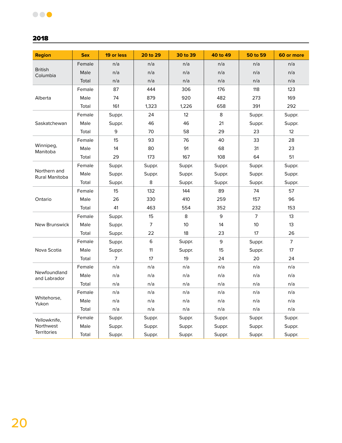| <b>Region</b>                  | <b>Sex</b> | 19 or less     | 20 to 29       | 30 to 39 | 40 to 49 | 50 to 59       | 60 or more     |
|--------------------------------|------------|----------------|----------------|----------|----------|----------------|----------------|
|                                | Female     | n/a            | n/a            | n/a      | n/a      | n/a            | n/a            |
| <b>British</b><br>Columbia     | Male       | n/a            | n/a            | n/a      | n/a      | n/a            | n/a            |
|                                | Total      | n/a            | n/a            | n/a      | n/a      | n/a            | n/a            |
| Alberta                        | Female     | 87             | 444            | 306      | 176      | 118            | 123            |
|                                | Male       | 74             | 879            | 920      | 482      | 273            | 169            |
|                                | Total      | 161            | 1,323          | 1,226    | 658      | 391            | 292            |
|                                | Female     | Suppr.         | 24             | 12       | $\,8\,$  | Suppr.         | Suppr.         |
| Saskatchewan                   | Male       | Suppr.         | 46             | 46       | 21       | Suppr.         | Suppr.         |
|                                | Total      | 9              | 70             | 58       | 29       | 23             | 12             |
|                                | Female     | 15             | 93             | 76       | 40       | 33             | 28             |
| Winnipeg,<br>Manitoba          | Male       | 14             | 80             | 91       | 68       | 31             | 23             |
|                                | Total      | 29             | 173            | 167      | 108      | 64             | 51             |
|                                | Female     | Suppr.         | Suppr.         | Suppr.   | Suppr.   | Suppr.         | Suppr.         |
| Northern and<br>Rural Manitoba | Male       | Suppr.         | Suppr.         | Suppr.   | Suppr.   | Suppr.         | Suppr.         |
|                                | Total      | Suppr.         | 8              | Suppr.   | Suppr.   | Suppr.         | Suppr.         |
|                                | Female     | 15             | 132            | 144      | 89       | 74             | 57             |
| Ontario                        | Male       | 26             | 330            | 410      | 259      | 157            | 96             |
|                                | Total      | 41             | 463            | 554      | 352      | 232            | 153            |
|                                | Female     | Suppr.         | 15             | 8        | 9        | $\overline{7}$ | 13             |
| <b>New Brunswick</b>           | Male       | Suppr.         | $\overline{7}$ | 10       | 14       | 10             | 13             |
|                                | Total      | Suppr.         | 22             | 18       | 23       | 17             | 26             |
|                                | Female     | Suppr.         | 6              | Suppr.   | 9        | Suppr.         | $\overline{7}$ |
| Nova Scotia                    | Male       | Suppr.         | 11             | Suppr.   | 15       | Suppr.         | 17             |
|                                | Total      | $\overline{7}$ | 17             | 19       | 24       | 20             | 24             |
|                                | Female     | n/a            | n/a            | n/a      | n/a      | n/a            | n/a            |
| Newfoundland<br>and Labrador   | Male       | n/a            | n/a            | n/a      | n/a      | n/a            | n/a            |
|                                | Total      | n/a            | n/a            | n/a      | n/a      | n/a            | n/a            |
|                                | Female     | n/a            | n/a            | n/a      | n/a      | n/a            | n/a            |
| Whitehorse,<br>Yukon           | Male       | n/a            | n/a            | n/a      | n/a      | n/a            | n/a            |
|                                | Total      | n/a            | n/a            | n/a      | n/a      | n/a            | n/a            |
| Yellowknife,                   | Female     | Suppr.         | Suppr.         | Suppr.   | Suppr.   | Suppr.         | Suppr.         |
| Northwest                      | Male       | Suppr.         | Suppr.         | Suppr.   | Suppr.   | Suppr.         | Suppr.         |
| <b>Territories</b>             | Total      | Suppr.         | Suppr.         | Suppr.   | Suppr.   | Suppr.         | Suppr.         |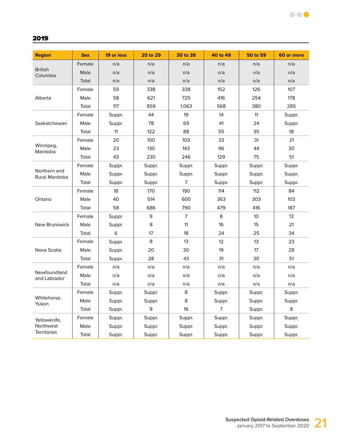| <b>Region</b>                  | <b>Sex</b> | 19 or less | 20 to 29 | 30 to 39       | 40 to 49       | 50 to 59 | 60 or more |
|--------------------------------|------------|------------|----------|----------------|----------------|----------|------------|
|                                | Female     | n/a        | n/a      | n/a            | n/a            | n/a      | n/a        |
| <b>British</b><br>Columbia     | Male       | n/a        | n/a      | n/a            | n/a            | n/a      | n/a        |
|                                | Total      | n/a        | n/a      | n/a            | n/a            | n/a      | n/a        |
|                                | Female     | 59         | 338      | 338            | 152            | 126      | 107        |
| Alberta                        | Male       | 58         | 621      | 725            | 416            | 254      | 178        |
|                                | Total      | 117        | 959      | 1,063          | 568            | 380      | 285        |
|                                | Female     | Suppr.     | 44       | 19             | 14             | 11       | Suppr.     |
| Saskatchewan                   | Male       | Suppr.     | 78       | 69             | 41             | 24       | Suppr.     |
|                                | Total      | 11         | 122      | 88             | 55             | 35       | 18         |
|                                | Female     | 20         | 100      | 103            | 33             | 31       | 21         |
| Winnipeg,<br>Manitoba          | Male       | 23         | 130      | 143            | 96             | 44       | 30         |
|                                | Total      | 43         | 230      | 246            | 129            | 75       | 51         |
|                                | Female     | Suppr.     | Suppr.   | Suppr.         | Suppr.         | Suppr.   | Suppr.     |
| Northern and<br>Rural Manitoba | Male       | Suppr.     | Suppr.   | Suppr.         | Suppr.         | Suppr.   | Suppr.     |
|                                | Total      | Suppr.     | Suppr.   | $\overline{7}$ | Suppr.         | Suppr.   | Suppr.     |
|                                | Female     | 18         | 170      | 190            | 114            | 112      | 84         |
| Ontario                        | Male       | 40         | 514      | 600            | 363            | 303      | 103        |
|                                | Total      | 58         | 686      | 790            | 479            | 416      | 187        |
|                                | Female     | Suppr.     | 9        | $\overline{7}$ | 8              | 10       | 13         |
| New Brunswick                  | Male       | Suppr.     | 8        | 11             | 16             | 15       | 21         |
|                                | Total      | 6          | 17       | 18             | 24             | 25       | 34         |
|                                | Female     | Suppr.     | 8        | 13             | 12             | 13       | 23         |
| Nova Scotia                    | Male       | Suppr.     | 20       | 30             | 19             | 17       | 28         |
|                                | Total      | Suppr.     | 28       | 43             | 31             | 30       | 51         |
|                                | Female     | n/a        | n/a      | n/a            | n/a            | n/a      | n/a        |
| Newfoundland<br>and Labrador   | Male       | n/a        | n/a      | n/a            | n/a            | n/a      | n/a        |
|                                | Total      | n/a        | n/a      | n/a            | n/a            | n/a      | n/a        |
|                                | Female     | Suppr.     | Suppr.   | 8              | Suppr.         | Suppr.   | Suppr.     |
| Whitehorse,<br>Yukon           | Male       | Suppr.     | Suppr.   | 8              | Suppr.         | Suppr.   | Suppr.     |
|                                | Total      | Suppr.     | 9        | 16             | $\overline{7}$ | Suppr.   | 8          |
| Yellowknife,                   | Female     | Suppr.     | Suppr.   | Suppr.         | Suppr.         | Suppr.   | Suppr.     |
| Northwest                      | Male       | Suppr.     | Suppr.   | Suppr.         | Suppr.         | Suppr.   | Suppr.     |
| <b>Territories</b>             | Total      | Suppr.     | Suppr.   | Suppr.         | Suppr.         | Suppr.   | Suppr.     |